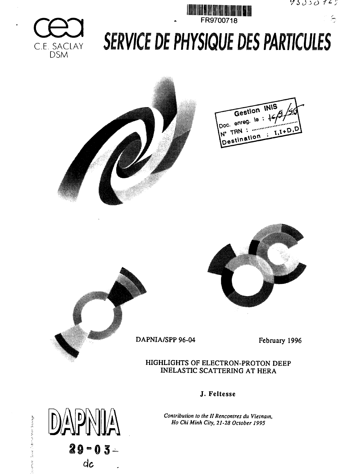

်





# **SERVICE DE PHYSIQUE DES PARTICULES**









 $\mathbb{Z}$ 

 $29 - 03 -$ 

 $dc$ 

 $D/\Delta$  $P$ 

sierund anweilichen ist Minn Sauraus-

DAPNIA/SPP 96-04 February 1996

HIGHLIGHTS OF ELECTRON-PROTON DEEP INELASTIC SCATTERING AT HERA

J. Feltesse

*Contribution to the II Rencontres du Vietnam, Ho Chi Minh City, 21-28 October 1995*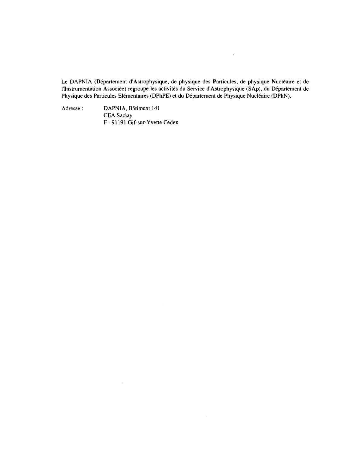Le DAPNIA (Département d'Astrophysique, de physique des Particules, de physique Nucléaire et de l'Instrumentation Associée) regroupe les activités du Service d'Astrophysique (SAp), du Département de Physique des Particules Elémentaires (DPhPE) et du Département de Physique Nucléaire (DPhN).

 $\mathcal{A}$ 

Adresse : DAPNIA, Batiment 141 CEA Saclay F - 91191 Gif-sur-Yvette Cedex

 $\sim$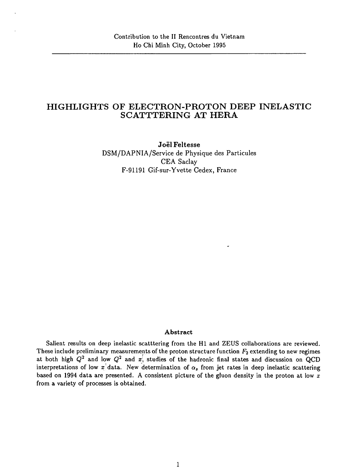# HIGHLIGHTS OF ELECTRON-PROTON DEEP INELASTIC SCATTTERING AT HERA

**Joel Feltesse** DSM/DAPNIA/Service de Physique des Particules CEA Saclay F-91191 Gif-sur-Yvette Cedex, France

# **Abstract**

Salient results on deep inelastic scatttering from the HI and ZEUS collaborations are reviewed. These include preliminary measureme<u>n</u>ts of the proton structure function  $F_{\mathbf{2}}$  extending to new regimes at both high  $Q^2$  and low  $Q^2$  and  $x\dot{,}$  studies of the hadronic final states and discussion on  $\rm QCD$ interpretations of low  $x^{\dagger}$  data. New determination of  $\alpha_s$  from jet rates in deep inelastic scattering based on 1994 data are presented. A consistent picture of the gluon density in the proton at low *x* from a variety of processes is obtained.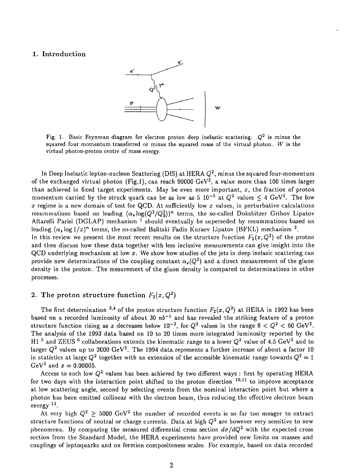# 1. Introduction



Fig. 1. Basic Feynman diagram for electron proton deep inelastic scattering. *Q<sup>2</sup>* is minus the squared four momentum transferred or minus the squared mass of the virtual photon. *W* is the virtual photon-proton centre of mass energy.

In Deep Inelastic lepton-nucleon Scattering (DIS) at HERA  $Q^2$ , minus the squared four-momentum of the exchanged virtual photon (Fig.1), can reach 90000  $\rm{GeV^2},$  a value more than 100 times larger than achieved in fixed target experiments. May be even more important, *x,* the fraction of proton momentum carried by the struck quark can be as low as 5 10<sup>-5</sup> at  $Q^2$  values  $\leq 4$  GeV<sup>2</sup>. The low  $x$  regime is a new domain of test for QCD. At sufficiently low  $x$  values, in perturbative calculations resummations based on leading  $(\alpha_s \log(Q^2/Q_0^2))^n$  terms, the so-called Dokshitzer Gribov Lipatov Altarelli Parisi (DGLAP) mechanism<sup>1</sup> should eventually be superseded by resummations based on leading  $(\alpha_s \log 1/x)^n$  terms, the so-called Balitski Fadin Kuraev Lipatov (BFKL) mechanism <sup>2</sup>. In this review we present the most recent results on the structure function  $F_2(x,Q^2)$  of the proton and then discuss how these data together with less inclusive measurements can give insight into the QCD underlying mechanism at low *x.* We show how studies of the jets in deep inelasic scattering can provide new determinations of the coupling constant  $\alpha_{s}(Q^{2})$  and a direct measurement of the gluon density in the proton. The mesurement of the gluon density is compared to determinations in other processes.

# 2. The proton structure function  $F_2(x,Q^2)$

The first determination <sup>3,4</sup> of the proton structure function  $F_{\bf 2}(x,Q^2)$  at HERA in 1992 has been based on a recorded luminosity of about 30 *nb~<sup>l</sup>* and has revealed the striking feature of a proton structure function rising as  $x$  decreases below  $10^{-2}$ , for  $Q^2$  values in the range  $8 < Q^2 < 60~{\rm GeV^2}$ . The analysis of the 1993 data based on 10 to 20 times more integrated luminosity reported by the H1<sup>5</sup> and ZEUS<sup>6</sup> collaborations extends the kinematic range to a lower  $Q^2$  value of 4.5 GeV<sup>2</sup> and to larger  $Q^2$  values up to 2000 GeV<sup>2</sup>. The 1994 data represents a further increase of about a factor 10 in statistics at large  $Q^2$  together with an extension of the accessible kinematic range towards  $Q^2 = 1$  $GeV^2$  and  $x = 0.00005$ .

Access to such low  $Q^{\mathbf{2}}$  values has been achieved by two different ways : first by operating HERA for two days with the interaction point shifted to the proton direction  $10,11$  to improve acceptance at low scattering angle, second by selecting events from the nominal interaction point but where a photon has been emitted collinear with the electron beam, thus reducing the effective electron beam .<br>energy <sup>12</sup>.

At very high  $Q^2 \ge 5000 \ {\rm GeV^2}$  the number of recorded events is so far too meager to extract structure functions of neutral or charge currents. Data at high *Q<sup>2</sup>* are however very sensitive to new phenomena. By comparing the measured differential cross section  $d\sigma/dQ^2$  with the expected cross section from the Standard Model, the HERA experiments have provided new limits on masses and couplings of leptoquarks and on fermion compositeness scales. For example, based on data recorded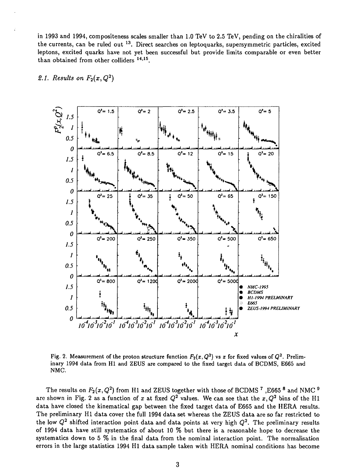in 1993 and 1994, compositeness scales smaller than 1.0 TeV to 2.5 TeV, pending on the chiralities of the currents, can be ruled out <sup>13</sup>. Direct searches on leptoquarks, supersymmetric particles, excited leptons, excited quarks have not yet been successful but provide limits comparable or even better than obtained from other colliders <sup>14,15</sup>.



2.1. Results on  $F_2(x,Q^2)$ 

Fig. 2. Measurement of the proton structure function  $F_2(x,Q^2)$  vs  $x$  for fixed values of  $Q^2$ . Preliminary 1994 data from HI and ZEUS are compared to the fixed target data of BCDMS, E665 and NMC.

The results on  $F_2(x,Q^2)$  from H1 and ZEUS together with those of BCDMS  $^7$  ,E665  $^8$  and NMC  $^9$ are shown in Fig. 2 as a function of x at fixed  $Q^2$  values. We can see that the  $x, Q^2$  bins of the H1 data have closed the kinematical gap between the fixed target data of E665 and the HERA results. The preliminary HI data cover the full 1994 data set whereas the ZEUS data are so far restricted to the low  $Q^2$  shifted interaction point data and data points at very high  $Q^2$ . The preliminary results of 1994 data have still systematics of about 10 % but there is a reasonable hope to decrease the systematics down to 5 % in the final data from the nominal interaction point. The normalisation errors in the large statistics 1994 HI data sample taken with HERA nominal conditions has become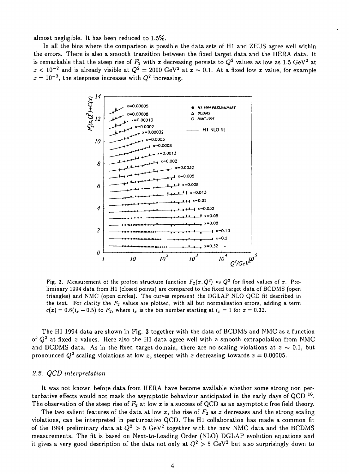almost negligible. It has been reduced to 1.5%.

In all the bins where the comparison is possible the data sets of HI and ZEUS agree well within the errors. There is also a smooth transition between the fixed target data and the HERA data. It is remarkable that the steep rise of  $F_2$  with  $x$  decreasing persists to  $Q^2$  values as low as 1.5 GeV $^2$  at  $x < 10^{-2}$  and is already visible at  $Q^2 = 2000 \text{ GeV}^2$  at  $x \sim 0.1$ . At a fixed low x value, for example  $x = 10^{-3}$ , the steepness increases with  $Q^2$  increasing.



Fig. 3. Measurement of the proton structure function  $F_2(x,Q^2)$  vs  $Q^2$  for fixed values of  $x$ . Preliminary 1994 data from HI (closed points) are compared to the fixed target data of BCDMS (open triangles) and NMC (open circles). The curves represent the DGLAP NLO QCD fit described in the text. For clarity the  $F_2$  values are plotted, with all but normalisation errors, adding a term  $c(x) = 0.6(i_x - 0.5)$  to  $F_2$ , where  $i_x$  is the bin number starting at  $i_x = 1$  for  $x = 0.32$ .

The HI 1994 data are shown in Fig. 3 together with the data of BCDMS and NMC as a function of *Q<sup>2</sup>* at fixed *x* values. Here also the HI data agree well with a smooth extrapolation from NMC and BCDMS data. As in the fixed target domain, there are no scaling violations at  $x \sim 0.1$ , but pronounced  $Q^2$  scaling violations at low x, steeper with x decreasing towards  $x = 0.00005$ .

### *2.2. QCD interpretation*

It was not known before data from HERA have become available whether some strong non perturbative effects would not mask the asymptotic behaviour anticipated in the early days of QCD  $^{16}$ . The observation of the steep rise of  $F_2$  at low x is a success of QCD as an asymptotic free field theory.

The two salient features of the data at low *x,* the rise of *F2* as *x* decreases and the strong scaling violations, can be interpreted in perturbative QCD. The HI collaboration has made a common fit of the 1994 preliminary data at  $Q^2 > 5$  GeV<sup>2</sup> together with the new NMC data and the BCDMS measurements. The fit is based on Next-to-Leading Order (NLO) DGLAP evolution equations and it gives a very good description of the data not only at  $Q^2 > 5$  GeV<sup>2</sup> but also surprisingly down to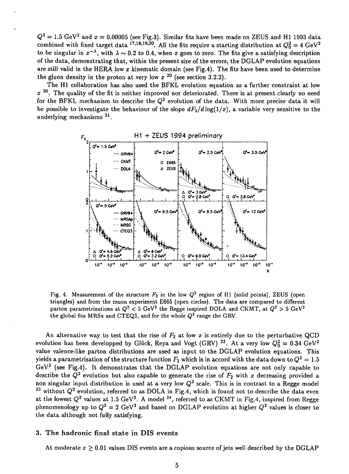$Q^2=1.5~{\rm GeV^2}$  and  $x=0.00005$  (see Fig.3). Similar fits have been made on ZEUS and H1 1993 data combined with fixed target data <sup>17,18,19,20</sup>. All the fits require a starting distribution at  $Q_0^2=4\;\rm{GeV}^2$ to be singular in  $x^{-\lambda}$ , with  $\lambda \sim 0.2$  to 0.4, when x goes to zero. The fits give a satisfying description of the data, demonstrating that, within the present size of the errors, the DGLAP evolution equations are still valid in the **HERA** low *x* kinematic domain (see Fig.4). The fits have been used to determine the gluon density in the proton at very low  $x^{20}$  (see section 3.2.2).

The HI collaboration has also used the BFKL evolution equation as a further constraint at low  $x$  <sup>20</sup>. The quality of the fit is neither improved nor deteriorated. There is at present clearly no need for the BFKL mechanism to describe the  $Q^2$  evolution of the data. With more precise data it will be possible to investigate the behaviour of the slope  $dF_2/d \log(1/x)$ , a variable very sensitive to the underlying mechanisms<sup>21</sup>.



Fig. 4. Measurement of the structure  $F_2$  in the low  $Q^2$  region of H1 (solid points),  ${\rm ZEUS}$  (open triangles) and from the muon experiment E665 (open circles). The data are compared to different parton parametrizations at  $Q^2 < 5 \text{ GeV}^2$  the Regge inspired DOLA and CKMT, at  $Q^2 > 5 \text{ GeV}^2$ the global fits MRSx and CTEQ3, and for the whole *Q<sup>2</sup>* range the GRV.

An alternative way to test that the rise of *F2* at low *x* is entirely due to the perturbative QCD evolution has been developped by Glück, Reya and Vogt (GRV) <sup>22</sup>. At a very low  $Q_0^2=0.34\ {\rm GeV^2}$ value valence-like parton distributions are used as input to the DGLAP evolution equations. This yields a parametrisation of the structure function  $F_2$  which is in accord with the data down to  $Q^2 = 1.5$  $\rm{GeV^2}$  (see Fig.4). It demonstrates that the DGLAP evolution equations are not only capable to describe the  $\tilde{Q}^2$  evolution but also capable to generate the rise of  $F_2$  with x decreasing provided a non singular input distribution is used at a very low  $Q^2$  scale. This is in contrast to a Regge model <sup>23</sup> without  $Q^2$  evolution, referred to as DOLA in Fig.4, which is found not to describe the data even at the lowest  $Q^2$  values at 1.5 GeV<sup>2</sup>. A model <sup>24</sup>, referred to as CKMT in Fig.4, inspired from Regge phenomenology up to  $Q^2 = 2$  GeV<sup>2</sup> and based on DGLAP evolution at higher  $Q^2$  values is closer to the data although not fully satisfying.

# **3. The hadronic final state in DIS events**

At moderate  $x \geq 0.01$  values DIS events are a copious source of jets well described by the DGLAP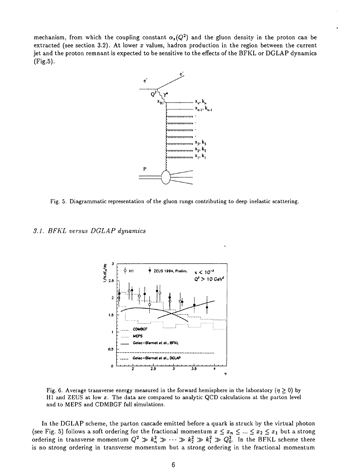mechanism, from which the coupling constant  $\alpha_{s}(Q^{2})$  and the gluon density in the proton can be extracted (see section 3.2). At lower *x* values, hadron production in the region between the current jet and the proton remnant is expected to be sensitive to the effects of the BFKL or DGLAP dynamics (Fig.5).



Fig. 5. Diagrammatic representation of the gluon rungs contributing to deep inelastic scattering.

*3.1. BFKL versus DGLAP dynamics*



Fig. 6. Average transverse energy measured in the forward hemisphere in the laboratory ( $\eta \ge 0$ ) by HI and ZEUS at low *x.* The data are compared to analytic QCD calculations at the parton level and to MEPS and CDMBGF full simulations.

In the DGLAP scheme, the parton cascade emitted before a quark is struck by the virtual photon (see Fig. 5) follows a soft ordering for the fractional momentum  $x \le x_n \le ... \le x_2 \le x_1$  but a strong ordering in transverse momentum  $Q^2 \gg k_n^2 \gg \cdots \gg k_2^2 \gg k_1^2 \gg Q_0^2.$  In the BFKL scheme there is no strong ordering in transverse momentum but a strong ordering in the fractional momentum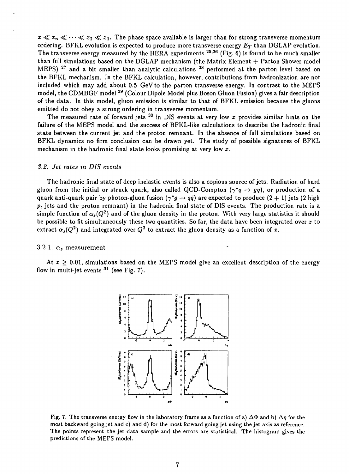$x \ll x_n \ll \cdots \ll x_2 \ll x_1$ . The phase space available is larger than for strong transverse momentum ordering. BFKL evolution is expected to produce more transverse energy *ET* than DGLAP evolution. The transverse energy measured by the HERA experiments  $^{25,26}$  (Fig. 6) is found to be much smaller than full simulations based on the DGLAP mechanism (the Matrix Element  $+$  Parton Shower model MEPS) <sup>27</sup> and a bit smaller than analytic calculations <sup>28</sup> performed at the parton level based or the BFKL mechanism. In the BFKL calculation, however, contributions from hadronization are not included which may add about 0.5 GeV to the parton transverse energy. In contrast to the MEPS model, the CDMBGF model <sup>29</sup> (Colour Dipole Model plus Boson Gluon Fusion) gives a fair description of the data. In this model, gluon emission is similar to that of BFKL emission because the gluons emitted do not obey a strong ordering in transverse momentum.

The measured rate of forward jets 30 in DIS events at very low *x* provides similar hints on the failure of the MEPS model and the success of BFKL-like calculations to describe the hadronic final state between the current jet and the proton remnant. In the absence of full simulations based on BFKL dynamics no firm conclusion can be drawn yet. The study of possible signatures of BFKL mechanism in the hadronic final state looks promising at very low *x.*

# *3.2. Jet rates in DIS events*

The hadronic final state of deep inelastic events is also a copious source of jets. Radiation of hard gluon from the initial or struck quark, also called QCD-Compton  $(\gamma^*q \rightarrow qq)$ , or production of a quark anti-quark pair by photon-gluon fusion  $(\gamma^*g \to q\bar{q})$  are expected to produce  $(2 + 1)$  jets (2 high  $p_t$  jets and the proton remnant) in the hadronic final state of DIS events. The production rate is a simple function of  $\alpha_{\mathfrak{s}}(Q^2)$  and of the gluon density in the proton. With very large statistics it should be possible to fit simultaneously these two quantities. So far, the data have been integrated over  $x$  to extract  $\alpha_s(Q^2)$  and integrated over  $Q^2$  to extract the gluon density as a function of x.

### 3.2.1.  $\alpha_s$  measurement

At  $x \geq 0.01$ , simulations based on the MEPS model give an excellent description of the energy flow in multi-jet events <sup>31</sup> (see Fig. 7).



Fig. 7. The transverse energy flow in the laboratory frame as a function of a)  $\Delta\Phi$  and b)  $\Delta\eta$  for the most backward going jet and c) and d) for the most forward going jet using the jet axis as reference. The points represent the jet data sample and the errors are statistical. The histogram gives the predictions of the MEPS model.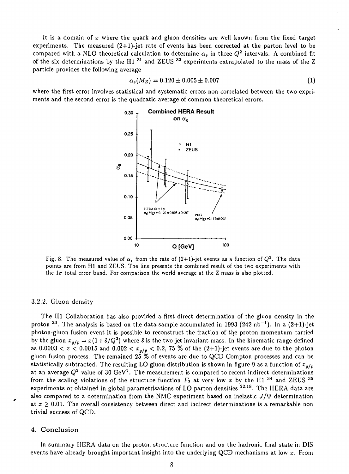It is a domain of *x* where the quark and gluon densities are well known from the fixed target experiments. The measured  $(2+1)$ -jet rate of events has been corrected at the parton level to be compared with a NLO theoretical calculation to determine  $\alpha_{s}$  in three  $Q^{2}$  intervals. A combined fit of the six determinations by the H1<sup>31</sup> and ZEUS<sup>32</sup> experiments extrapolated to the mass of the 2 particle provides the following average

$$
\alpha_s(M_Z) = 0.120 \pm 0.005 \pm 0.007 \tag{1}
$$

where the first error involves statistical and systematic errors non correlated between the two expriments and the second error is the quadratic average of common theoretical errors.



Fig. 8. The measured value of  $\alpha$ , from the rate of (2+1)-jet events as a function of  $Q^2$ . The data points are from HI and ZEUS. The line presents the combined result of the two experiments with the  $1\sigma$  total error band. For comparison the world average at the Z mass is also plotted.

#### 3.2.2. Gluon density

The HI Collaboration has also provided a first direct determination of the gluon density in the proton <sup>33</sup>. The analysis is based on the data sample accumulated in 1993 (242 nb<sup>-1</sup>). In a (2+1)-jet photon-gluon fusion event it is possible to reconstruct the fraction of the proton momentum carried by the gluon  $x_{g/p} = x(1 + \hat{s}/Q^2)$  where  $\hat{s}$  is the two-jet invariant mass. In the kinematic range defined as  $0.0003 < x < 0.0015$  and  $0.002 < x_{g/p} < 0.2$ , 75 % of the (2+1)-jet events are due to the photon gluon fusion process. The remained 25 *%* of events are due to QCD Compton processes and can be statistically subtracted. The resulting LO gluon distribution is shown in figure 9 as a function of  $x_{g/p}$ at an average  $Q^2$  value of 30 GeV<sup>2</sup>. The measurement is compared to recent indirect determinations from the scaling violations of the structure function  $F_2$  at very low x by the H1<sup>34</sup> and ZEUS<sup>35</sup> experiments or obtained in global parametrisations of LO parton densities  $22,18$ . The HERA data are also compared to a determination from the NMC experiment based on inelastic  $J/\Psi$  determination at  $x \geq 0.01$ . The overall consistency between direct and indirect determinations is a remarkable non trivial success of QCD.

#### 4. Conclusion

In summary HERA data on the proton structure function and on the hadronic final state in DIS events have already brought important insight into the underlying QCD mechanisms at low *x.* From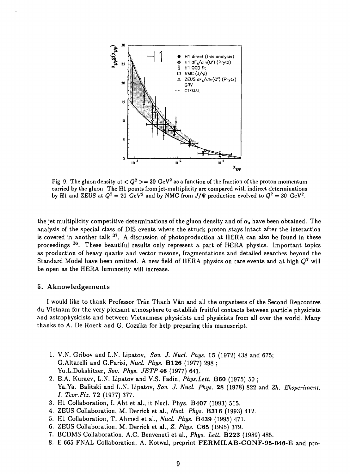

Fig. 9. The gluon density at  $< Q^2> = 30\,\,{\rm GeV^2}$  as a function of the fraction of the proton momentum carried by the gluon. The HI points from jet-multiplicity are compared with indirect determinations by H1 and ZEUS at  $Q^2 = 20$  GeV<sup>2</sup> and by NMC from  $J/\Psi$  production evolved to  $Q^2 = 30$  GeV<sup>2</sup>.

the jet multiplicity competitive determinations of the gluon density and of  $\alpha_s$  have been obtained. The analysis of the special class of DIS events where the struck proton stays intact after the interaction is covered in another talk <sup>37</sup>. A discussion of photoproduction at HERA can also be found in these proceedings <sup>36</sup>. These beautiful results only represent a part of HERA physics. Important topics as production of heavy quarks and vector mesons, fragmentations and detailed searches beyond the Standard Model have been omitted. A new field of HERA physics on rare events and at high  $Q^2$  will be open as the HERA luminosity will increase.

### 5. Aknowledgements

I would like to thank Professor Tran Thanh Van and all the organisers of the Second Rencontres du Vietnam for the very pleasant atmosphere to establish fruitful contacts between particle physicists and astrophysicists and between Vietnamese physicists and physicists from all over the world. Many thanks to A. De Roeck and G. Cozzika for help preparing this manuscript.

- 1. V.N. Gribov and L.N. Lipatov, *Sov. J. Nucl. Phys.* **15** (1972) 438 and 675; G.Altarelli and G.Parisi, *Nucl. Phys.* **B126** (1977) 298 ; Yu.L.Dokshitzer, *Sov. Phys. JETP* **46** (1977) 641.
- 2. E.A. Kuraev, L.N. Lipatov and V.S. Fadin, *Phys.Lett.* **B60** (1975) 50 ; Ya.Ya. Balitski and L.N. Lipatov, *Sov. J. Nucl. Phys.* 28 (1978) 822 and *Zh. Eksperiment. I. Teor.Fiz.* 72 (1977) 377.
- 3. HI Collaboration, I. Abt et al., it Nucl. Phys. **B407** (1993) 515.
- 4. ZEUS Collaboration, M. Derrick et al., *Nucl. Phys.* **B316** (1993) 412.
- 5. HI Collaboration, T. Ahmed et al., *Nucl. Phys.* **B439** (1995) 471.
- 6. ZEUS Collaboration, M. Derrick et al., *Z. Phys.* **C65** (1995) 379.
- 7. BCDMS Collaboration, A.C. Benvenuti et al., *Phys. Lett.* **B223** (1989) 485.
- 8. E-665 FNAL Collaboration, A. Kotwal, preprint **FERMILAB-CONF-95-046-E** and pro-